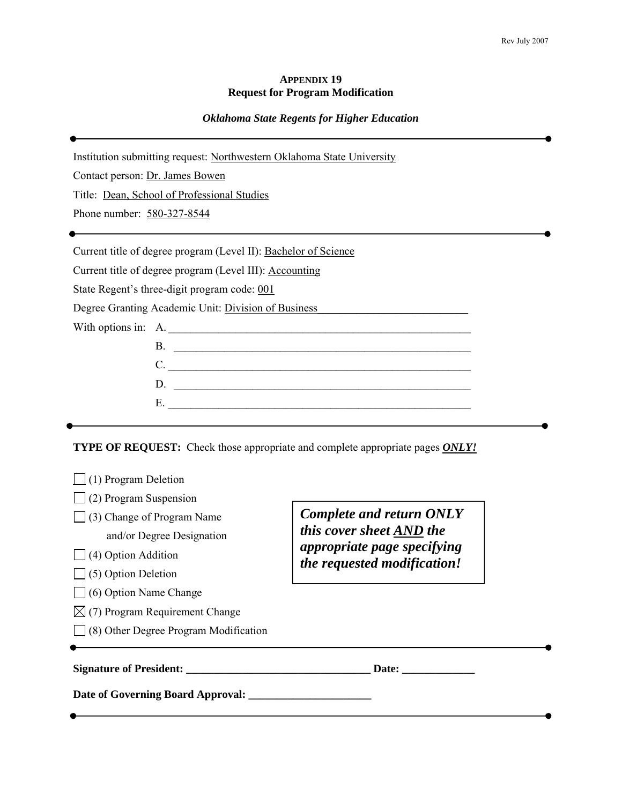#### **APPENDIX 19 Request for Program Modification**

### *Oklahoma State Regents for Higher Education*

Institution submitting request: Northwestern Oklahoma State University Contact person: Dr. James Bowen Title: Dean, School of Professional Studies Phone number: 580-327-8544 Current title of degree program (Level II): Bachelor of Science Current title of degree program (Level III): Accounting State Regent's three-digit program code: 001 Degree Granting Academic Unit: Division of Business\_\_\_\_\_\_\_\_\_\_\_\_\_\_\_\_\_\_\_\_\_\_\_\_\_\_\_ With options in: A. B. \_\_\_\_\_\_\_\_\_\_\_\_\_\_\_\_\_\_\_\_\_\_\_\_\_\_\_\_\_\_\_\_\_\_\_\_\_\_\_\_\_\_\_\_\_\_\_\_\_\_\_\_\_ C. \_\_\_\_\_\_\_\_\_\_\_\_\_\_\_\_\_\_\_\_\_\_\_\_\_\_\_\_\_\_\_\_\_\_\_\_\_\_\_\_\_\_\_\_\_\_\_\_\_\_\_\_\_\_ D. \_\_\_\_\_\_\_\_\_\_\_\_\_\_\_\_\_\_\_\_\_\_\_\_\_\_\_\_\_\_\_\_\_\_\_\_\_\_\_\_\_\_\_\_\_\_\_\_\_\_\_\_\_  $E.$ 

**TYPE OF REQUEST:** Check those appropriate and complete appropriate pages *ONLY!*

| (2) Program Suspension<br>(3) Change of Program Name<br>and/or Degree Designation<br>$\Box$ (4) Option Addition<br>$\bigcup$ (5) Option Deletion | <b>Complete and return ONLY</b><br>this cover sheet AND the<br>appropriate page specifying<br>the requested modification! |
|--------------------------------------------------------------------------------------------------------------------------------------------------|---------------------------------------------------------------------------------------------------------------------------|
| $\Box$ (6) Option Name Change                                                                                                                    |                                                                                                                           |
| $\boxtimes$ (7) Program Requirement Change                                                                                                       |                                                                                                                           |
| $\vert$ (8) Other Degree Program Modification                                                                                                    |                                                                                                                           |
|                                                                                                                                                  | Date:                                                                                                                     |
| Date of Governing Board Approval: _______                                                                                                        |                                                                                                                           |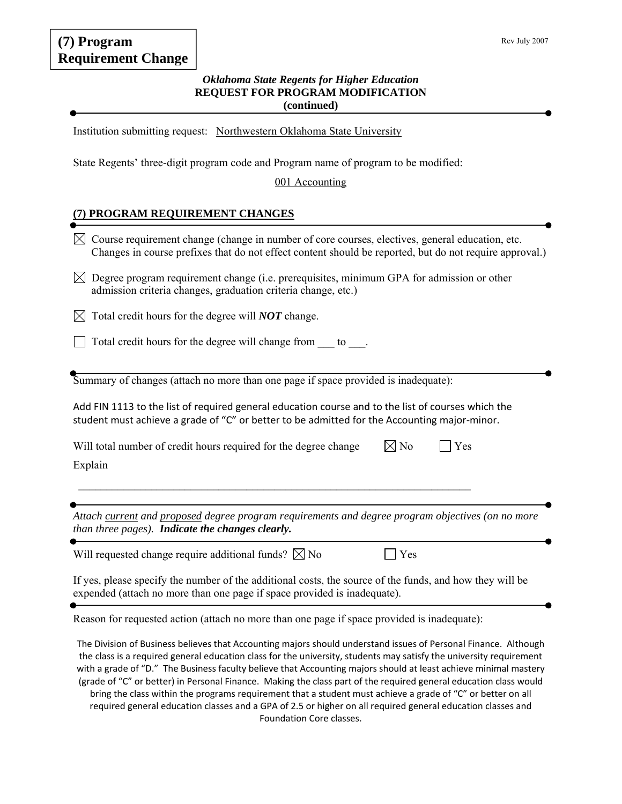# **(7) Program Requirement Change**

### *Oklahoma State Regents for Higher Education*  **REQUEST FOR PROGRAM MODIFICATION (continued)**

Institution submitting request: Northwestern Oklahoma State University

State Regents' three-digit program code and Program name of program to be modified:

#### 001 Accounting

## **(7) PROGRAM REQUIREMENT CHANGES**

| <b>TROOMINI REQUIREMENT CHANGED</b>                                                                                                                                                                                       |
|---------------------------------------------------------------------------------------------------------------------------------------------------------------------------------------------------------------------------|
| Course requirement change (change in number of core courses, electives, general education, etc.<br>$\boxtimes$<br>Changes in course prefixes that do not effect content should be reported, but do not require approval.) |
| $\boxtimes$ Degree program requirement change (i.e. prerequisites, minimum GPA for admission or other<br>admission criteria changes, graduation criteria change, etc.)                                                    |
| Total credit hours for the degree will <b>NOT</b> change.                                                                                                                                                                 |
| Total credit hours for the degree will change from to.                                                                                                                                                                    |
| Summary of changes (attach no more than one page if space provided is inadequate):                                                                                                                                        |
| Add FIN 1113 to the list of required general education course and to the list of courses which the<br>student must achieve a grade of "C" or better to be admitted for the Accounting major-minor.                        |
| $\boxtimes$ No<br>Will total number of credit hours required for the degree change<br>Yes<br>Explain                                                                                                                      |
| Attach current and proposed degree program requirements and degree program objectives (on no more<br>than three pages). Indicate the changes clearly.                                                                     |
| Will requested change require additional funds? $\boxtimes$ No<br>Yes                                                                                                                                                     |
| If yes, please specify the number of the additional costs, the source of the funds, and how they will be<br>expended (attach no more than one page if space provided is inadequate).                                      |
| Reason for requested action (attach no more than one page if space provided is inadequate):                                                                                                                               |
| The Division of Business believes that Accounting majors should understand issues of Personal Finance. Although                                                                                                           |

The Division of Business believes that Accounting majors should understand issues of Personal Finance. Although the class is a required general education class for the university, students may satisfy the university requirement with a grade of "D." The Business faculty believe that Accounting majors should at least achieve minimal mastery (grade of "C" or better) in Personal Finance. Making the class part of the required general education class would bring the class within the programs requirement that a student must achieve a grade of "C" or better on all required general education classes and a GPA of 2.5 or higher on all required general education classes and Foundation Core classes.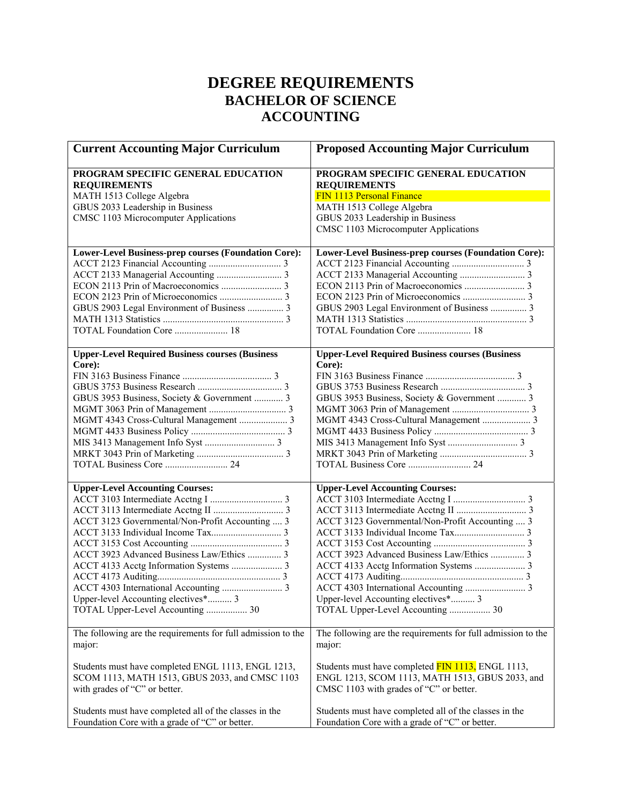# **DEGREE REQUIREMENTS BACHELOR OF SCIENCE ACCOUNTING**

| <b>Current Accounting Major Curriculum</b>                   | <b>Proposed Accounting Major Curriculum</b>                  |
|--------------------------------------------------------------|--------------------------------------------------------------|
| PROGRAM SPECIFIC GENERAL EDUCATION<br><b>REQUIREMENTS</b>    | PROGRAM SPECIFIC GENERAL EDUCATION<br><b>REQUIREMENTS</b>    |
| MATH 1513 College Algebra                                    | FIN 1113 Personal Finance                                    |
| GBUS 2033 Leadership in Business                             | MATH 1513 College Algebra                                    |
| CMSC 1103 Microcomputer Applications                         | GBUS 2033 Leadership in Business                             |
|                                                              | CMSC 1103 Microcomputer Applications                         |
| Lower-Level Business-prep courses (Foundation Core):         | Lower-Level Business-prep courses (Foundation Core):         |
|                                                              |                                                              |
|                                                              |                                                              |
|                                                              |                                                              |
|                                                              |                                                              |
| GBUS 2903 Legal Environment of Business  3                   | GBUS 2903 Legal Environment of Business  3                   |
|                                                              |                                                              |
| TOTAL Foundation Core  18                                    | TOTAL Foundation Core  18                                    |
| <b>Upper-Level Required Business courses (Business</b>       | <b>Upper-Level Required Business courses (Business</b>       |
| Core):                                                       | Core):                                                       |
|                                                              |                                                              |
|                                                              |                                                              |
| GBUS 3953 Business, Society & Government  3                  | GBUS 3953 Business, Society & Government  3                  |
|                                                              |                                                              |
| MGMT 4343 Cross-Cultural Management  3                       |                                                              |
|                                                              |                                                              |
|                                                              |                                                              |
|                                                              |                                                              |
|                                                              |                                                              |
| <b>Upper-Level Accounting Courses:</b>                       | <b>Upper-Level Accounting Courses:</b>                       |
|                                                              |                                                              |
|                                                              |                                                              |
| ACCT 3123 Governmental/Non-Profit Accounting  3              | ACCT 3123 Governmental/Non-Profit Accounting  3              |
|                                                              |                                                              |
|                                                              |                                                              |
| ACCT 3923 Advanced Business Law/Ethics  3                    | ACCT 3923 Advanced Business Law/Ethics  3                    |
|                                                              |                                                              |
|                                                              |                                                              |
|                                                              |                                                              |
| Upper-level Accounting electives* 3                          | Upper-level Accounting electives* 3                          |
| TOTAL Upper-Level Accounting  30                             | TOTAL Upper-Level Accounting  30                             |
| The following are the requirements for full admission to the | The following are the requirements for full admission to the |
| major:                                                       | major:                                                       |
| Students must have completed ENGL 1113, ENGL 1213,           | Students must have completed FIN 1113, ENGL 1113,            |
| SCOM 1113, MATH 1513, GBUS 2033, and CMSC 1103               | ENGL 1213, SCOM 1113, MATH 1513, GBUS 2033, and              |
| with grades of "C" or better.                                | CMSC 1103 with grades of "C" or better.                      |
| Students must have completed all of the classes in the       | Students must have completed all of the classes in the       |
| Foundation Core with a grade of "C" or better.               | Foundation Core with a grade of "C" or better.               |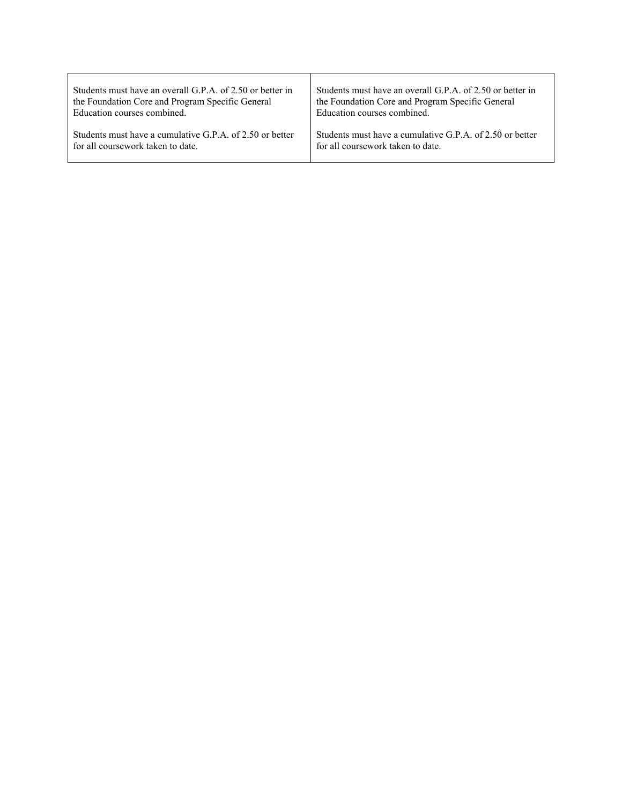| Students must have an overall G.P.A. of 2.50 or better in | Students must have an overall G.P.A. of 2.50 or better in  |
|-----------------------------------------------------------|------------------------------------------------------------|
| the Foundation Core and Program Specific General          | the Foundation Core and Program Specific General           |
| Education courses combined.                               | Education courses combined.                                |
| Students must have a cumulative G.P.A. of 2.50 or better  | Students must have a cumulative G.P.A. of $2.50$ or better |
| for all coursework taken to date.                         | for all coursework taken to date.                          |

 $\Gamma$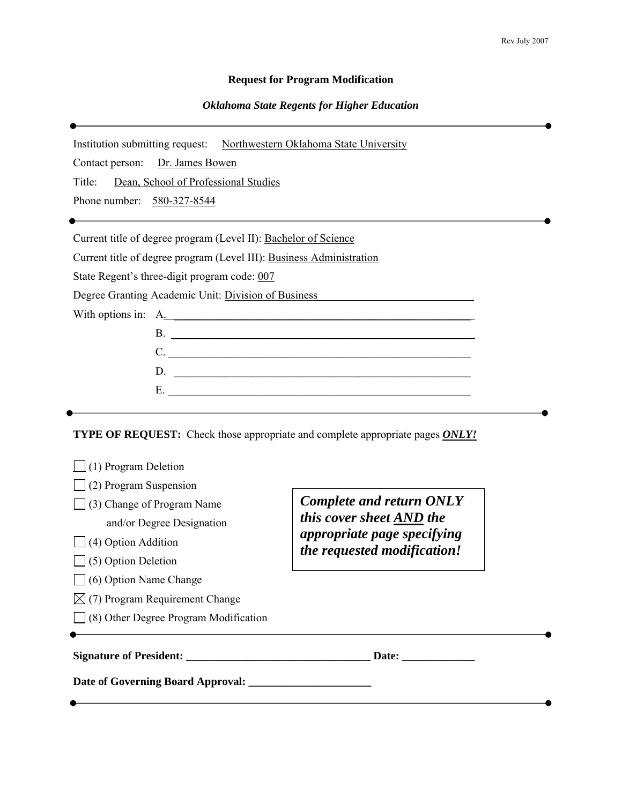#### **Request for Program Modification**

#### *Oklahoma State Regents for Higher Education*

Institution submitting request: Northwestern Oklahoma State University

Contact person: Dr. James Bowen

Title: Dean, School of Professional Studies

Phone number: 580-327-8544

Current title of degree program (Level II): Bachelor of Science

Current title of degree program (Level III): Business Administration

State Regent's three-digit program code: 007

Degree Granting Academic Unit: Division of Business\_\_\_\_\_\_\_\_\_\_\_\_\_\_\_\_\_\_\_\_\_\_\_\_\_\_\_\_\_

With options in: A.

| $\mathcal{L}^{\mathcal{L}}$ and the contract of the contract of the contract of the contract of the contract of the contract of the contract of the contract of the contract of the contract of the contract of the contract of the contr |
|-------------------------------------------------------------------------------------------------------------------------------------------------------------------------------------------------------------------------------------------|
|                                                                                                                                                                                                                                           |
|                                                                                                                                                                                                                                           |

**TYPE OF REQUEST:** Check those appropriate and complete appropriate pages *ONLY!*

| (1) Program Deletion                         |                                                            |  |
|----------------------------------------------|------------------------------------------------------------|--|
| (2) Program Suspension                       |                                                            |  |
| (3) Change of Program Name                   | <b>Complete and return ONLY</b>                            |  |
| and/or Degree Designation                    | this cover sheet AND the                                   |  |
| (4) Option Addition                          | appropriate page specifying<br>the requested modification! |  |
| $\Box$ (5) Option Deletion                   |                                                            |  |
| $\bigcup$ (6) Option Name Change             |                                                            |  |
| $\boxtimes$ (7) Program Requirement Change   |                                                            |  |
| $\Box$ (8) Other Degree Program Modification |                                                            |  |
|                                              |                                                            |  |
| <b>Signature of President:</b>               | Date:                                                      |  |
| Date of Governing Board Approval:            |                                                            |  |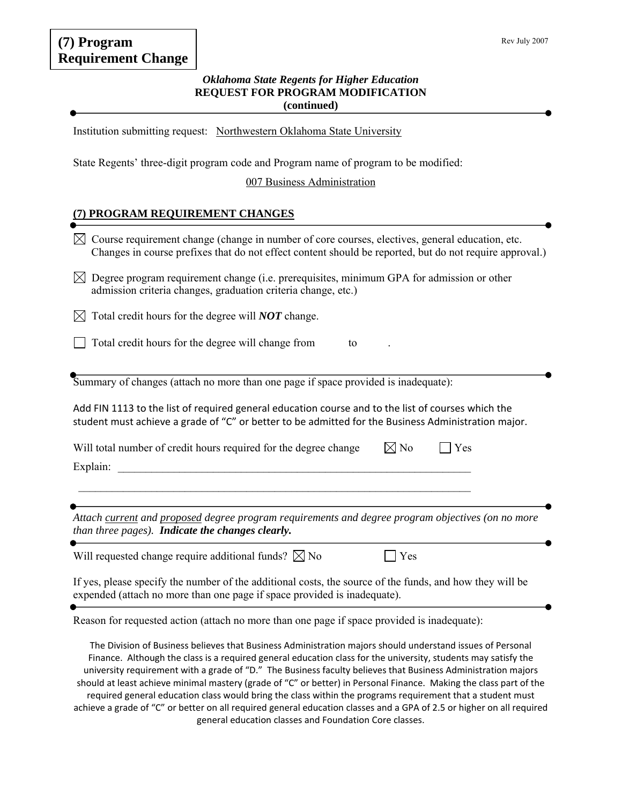# **(7) Program Requirement Change**

### *Oklahoma State Regents for Higher Education*  **REQUEST FOR PROGRAM MODIFICATION (continued)**

Institution submitting request: Northwestern Oklahoma State University

State Regents' three-digit program code and Program name of program to be modified:

007 Business Administration

## **(7) PROGRAM REQUIREMENT CHANGES**

| Course requirement change (change in number of core courses, electives, general education, etc.<br>$\bowtie$<br>Changes in course prefixes that do not effect content should be reported, but do not require approval.)                                                                                                                       |
|-----------------------------------------------------------------------------------------------------------------------------------------------------------------------------------------------------------------------------------------------------------------------------------------------------------------------------------------------|
| Degree program requirement change (i.e. prerequisites, minimum GPA for admission or other<br>$\boxtimes$<br>admission criteria changes, graduation criteria change, etc.)                                                                                                                                                                     |
| Total credit hours for the degree will <b>NOT</b> change.<br>⊠                                                                                                                                                                                                                                                                                |
| Total credit hours for the degree will change from<br>to                                                                                                                                                                                                                                                                                      |
| Summary of changes (attach no more than one page if space provided is inadequate):                                                                                                                                                                                                                                                            |
| Add FIN 1113 to the list of required general education course and to the list of courses which the<br>student must achieve a grade of "C" or better to be admitted for the Business Administration major.                                                                                                                                     |
| $\boxtimes$ No<br>Will total number of credit hours required for the degree change<br>Yes                                                                                                                                                                                                                                                     |
| Explain:                                                                                                                                                                                                                                                                                                                                      |
|                                                                                                                                                                                                                                                                                                                                               |
| Attach current and proposed degree program requirements and degree program objectives (on no more<br>than three pages). Indicate the changes clearly.                                                                                                                                                                                         |
| Will requested change require additional funds? $\boxtimes$ No<br>Yes                                                                                                                                                                                                                                                                         |
| If yes, please specify the number of the additional costs, the source of the funds, and how they will be<br>expended (attach no more than one page if space provided is inadequate).                                                                                                                                                          |
| Reason for requested action (attach no more than one page if space provided is inadequate):                                                                                                                                                                                                                                                   |
| The Division of Business believes that Business Administration majors should understand issues of Personal<br>Finance. Although the class is a required general education class for the university, students may satisfy the<br>university requirement with a grade of "D." The Business faculty believes that Business Administration majors |

should at least achieve minimal mastery (grade of "C" or better) in Personal Finance. Making the class part of the required general education class would bring the class within the programs requirement that a student must achieve a grade of "C" or better on all required general education classes and a GPA of 2.5 or higher on all required general education classes and Foundation Core classes.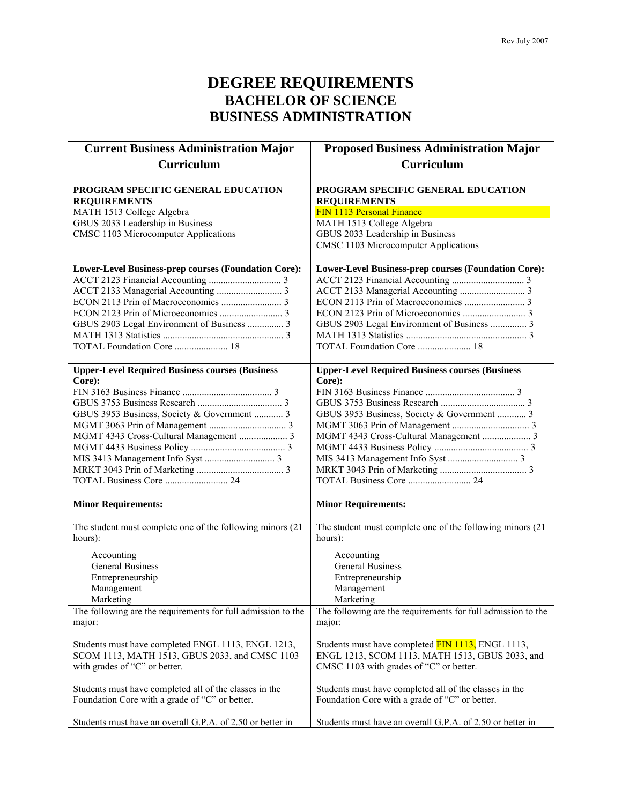# **DEGREE REQUIREMENTS BACHELOR OF SCIENCE BUSINESS ADMINISTRATION**

| <b>Current Business Administration Major</b>                     | <b>Proposed Business Administration Major</b>                            |
|------------------------------------------------------------------|--------------------------------------------------------------------------|
| <b>Curriculum</b>                                                | <b>Curriculum</b>                                                        |
|                                                                  |                                                                          |
| PROGRAM SPECIFIC GENERAL EDUCATION                               | PROGRAM SPECIFIC GENERAL EDUCATION                                       |
| <b>REQUIREMENTS</b>                                              | <b>REQUIREMENTS</b>                                                      |
| MATH 1513 College Algebra                                        | FIN 1113 Personal Finance                                                |
| GBUS 2033 Leadership in Business                                 | MATH 1513 College Algebra                                                |
| CMSC 1103 Microcomputer Applications                             | GBUS 2033 Leadership in Business<br>CMSC 1103 Microcomputer Applications |
|                                                                  |                                                                          |
| Lower-Level Business-prep courses (Foundation Core):             | Lower-Level Business-prep courses (Foundation Core):                     |
|                                                                  |                                                                          |
|                                                                  |                                                                          |
|                                                                  |                                                                          |
|                                                                  |                                                                          |
| GBUS 2903 Legal Environment of Business  3                       | GBUS 2903 Legal Environment of Business  3                               |
|                                                                  |                                                                          |
| TOTAL Foundation Core  18                                        | TOTAL Foundation Core  18                                                |
|                                                                  |                                                                          |
| <b>Upper-Level Required Business courses (Business</b><br>Core): | <b>Upper-Level Required Business courses (Business</b><br>Core):         |
|                                                                  |                                                                          |
|                                                                  |                                                                          |
| GBUS 3953 Business, Society & Government  3                      | GBUS 3953 Business, Society & Government  3                              |
|                                                                  |                                                                          |
|                                                                  | MGMT 4343 Cross-Cultural Management  3                                   |
|                                                                  |                                                                          |
|                                                                  |                                                                          |
|                                                                  |                                                                          |
|                                                                  |                                                                          |
|                                                                  |                                                                          |
| <b>Minor Requirements:</b>                                       | <b>Minor Requirements:</b>                                               |
| The student must complete one of the following minors (21)       | The student must complete one of the following minors (21)               |
| hours):                                                          | hours):                                                                  |
| Accounting                                                       | Accounting                                                               |
| <b>General Business</b>                                          | <b>General Business</b>                                                  |
| Entrepreneurship                                                 | Entrepreneurship                                                         |
| Management                                                       | Management                                                               |
| Marketing                                                        | Marketing                                                                |
| The following are the requirements for full admission to the     | The following are the requirements for full admission to the             |
| major:                                                           | major:                                                                   |
|                                                                  |                                                                          |
| Students must have completed ENGL 1113, ENGL 1213,               | Students must have completed FIN 1113, ENGL 1113,                        |
| SCOM 1113, MATH 1513, GBUS 2033, and CMSC 1103                   | ENGL 1213, SCOM 1113, MATH 1513, GBUS 2033, and                          |
| with grades of "C" or better.                                    | CMSC 1103 with grades of "C" or better.                                  |
| Students must have completed all of the classes in the           | Students must have completed all of the classes in the                   |
| Foundation Core with a grade of "C" or better.                   | Foundation Core with a grade of "C" or better.                           |
|                                                                  |                                                                          |
| Students must have an overall G.P.A. of 2.50 or better in        | Students must have an overall G.P.A. of 2.50 or better in                |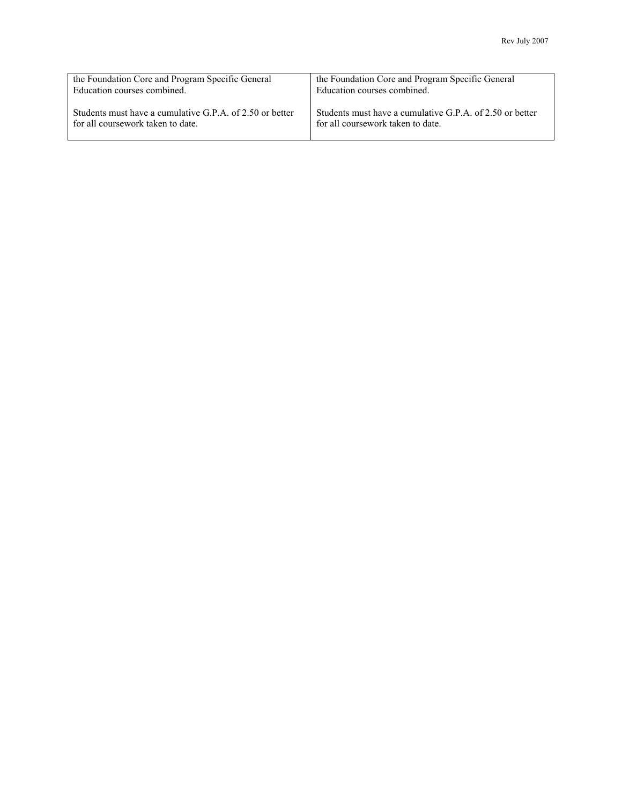| the Foundation Core and Program Specific General         | the Foundation Core and Program Specific General         |
|----------------------------------------------------------|----------------------------------------------------------|
| Education courses combined.                              | Education courses combined.                              |
| Students must have a cumulative G.P.A. of 2.50 or better | Students must have a cumulative G.P.A. of 2.50 or better |
| for all coursework taken to date.                        | for all coursework taken to date.                        |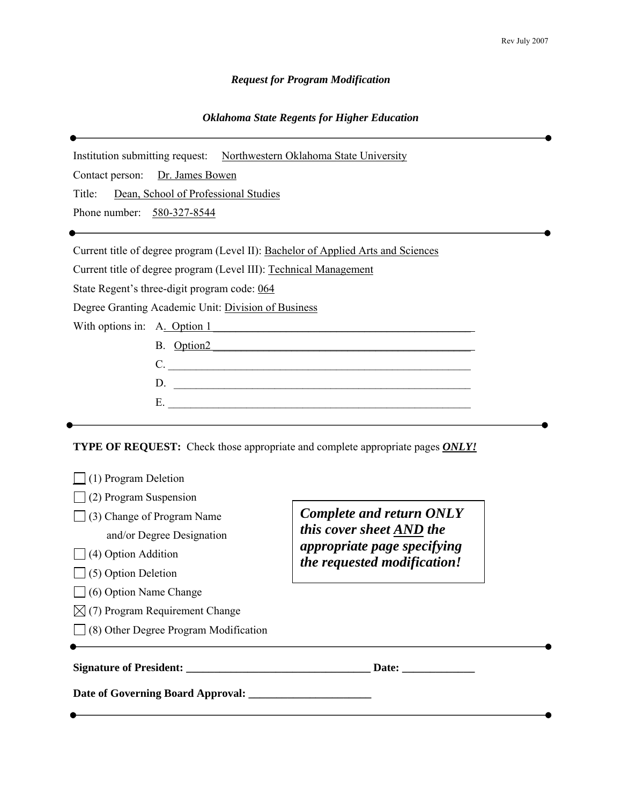## *Request for Program Modification*

## *Oklahoma State Regents for Higher Education*

| Institution submitting request: Northwestern Oklahoma State University            |                                                                                             |  |
|-----------------------------------------------------------------------------------|---------------------------------------------------------------------------------------------|--|
| Dr. James Bowen<br>Contact person:                                                |                                                                                             |  |
| Dean, School of Professional Studies<br>Title:                                    |                                                                                             |  |
| Phone number: 580-327-8544                                                        |                                                                                             |  |
|                                                                                   |                                                                                             |  |
| Current title of degree program (Level II): Bachelor of Applied Arts and Sciences |                                                                                             |  |
| Current title of degree program (Level III): Technical Management                 |                                                                                             |  |
| State Regent's three-digit program code: 064                                      |                                                                                             |  |
| Degree Granting Academic Unit: Division of Business                               |                                                                                             |  |
| With options in: A. Option 1                                                      |                                                                                             |  |
| B. Option2                                                                        |                                                                                             |  |
| C.                                                                                |                                                                                             |  |
|                                                                                   |                                                                                             |  |
|                                                                                   |                                                                                             |  |
| (1) Program Deletion<br>(2) Program Suspension                                    | <b>TYPE OF REQUEST:</b> Check those appropriate and complete appropriate pages <b>ONLY!</b> |  |
| $\Box$ (3) Change of Program Name                                                 | <b>Complete and return ONLY</b>                                                             |  |
| this cover sheet AND the<br>and/or Degree Designation                             |                                                                                             |  |
| appropriate page specifying<br>(4) Option Addition                                |                                                                                             |  |
| (5) Option Deletion                                                               | the requested modification!                                                                 |  |
| (6) Option Name Change                                                            |                                                                                             |  |
| $\boxtimes$ (7) Program Requirement Change                                        |                                                                                             |  |
| (8) Other Degree Program Modification                                             |                                                                                             |  |
|                                                                                   |                                                                                             |  |

**Signature of President: \_\_\_\_\_\_\_\_\_\_\_\_\_\_\_\_\_\_\_\_\_\_\_\_\_\_\_\_\_\_\_\_\_ Date: \_\_\_\_\_\_\_\_\_\_\_\_\_** 

**Date of Governing Board Approval: \_\_\_\_\_\_\_\_\_\_\_\_\_\_\_\_\_\_\_\_\_\_**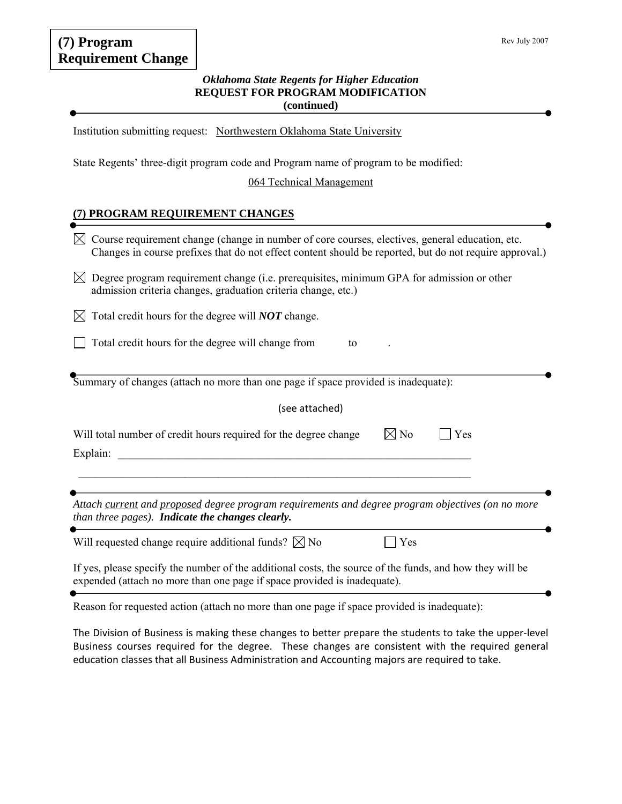# **(7) Program Requirement Change**

### *Oklahoma State Regents for Higher Education*  **REQUEST FOR PROGRAM MODIFICATION (continued)**

Institution submitting request: Northwestern Oklahoma State University

State Regents' three-digit program code and Program name of program to be modified:

### 064 Technical Management

## **(7) PROGRAM REQUIREMENT CHANGES**

| Course requirement change (change in number of core courses, electives, general education, etc.<br>Changes in course prefixes that do not effect content should be reported, but do not require approval.) |  |  |
|------------------------------------------------------------------------------------------------------------------------------------------------------------------------------------------------------------|--|--|
| Degree program requirement change (i.e. prerequisites, minimum GPA for admission or other<br>IХI<br>admission criteria changes, graduation criteria change, etc.)                                          |  |  |
| Total credit hours for the degree will <b>NOT</b> change.<br>IХI                                                                                                                                           |  |  |
| Total credit hours for the degree will change from<br>to                                                                                                                                                   |  |  |
| Summary of changes (attach no more than one page if space provided is inadequate):                                                                                                                         |  |  |
| (see attached)                                                                                                                                                                                             |  |  |
| Will total number of credit hours required for the degree change<br>$\boxtimes$ No<br>Yes<br>Explain:                                                                                                      |  |  |
|                                                                                                                                                                                                            |  |  |
| Attach current and proposed degree program requirements and degree program objectives (on no more<br>than three pages). Indicate the changes clearly.                                                      |  |  |
| Will requested change require additional funds? $\boxtimes$ No<br>Yes                                                                                                                                      |  |  |
| If yes, please specify the number of the additional costs, the source of the funds, and how they will be<br>expended (attach no more than one page if space provided is inadequate).                       |  |  |

Reason for requested action (attach no more than one page if space provided is inadequate):

The Division of Business is making these changes to better prepare the students to take the upper‐level Business courses required for the degree. These changes are consistent with the required general education classes that all Business Administration and Accounting majors are required to take.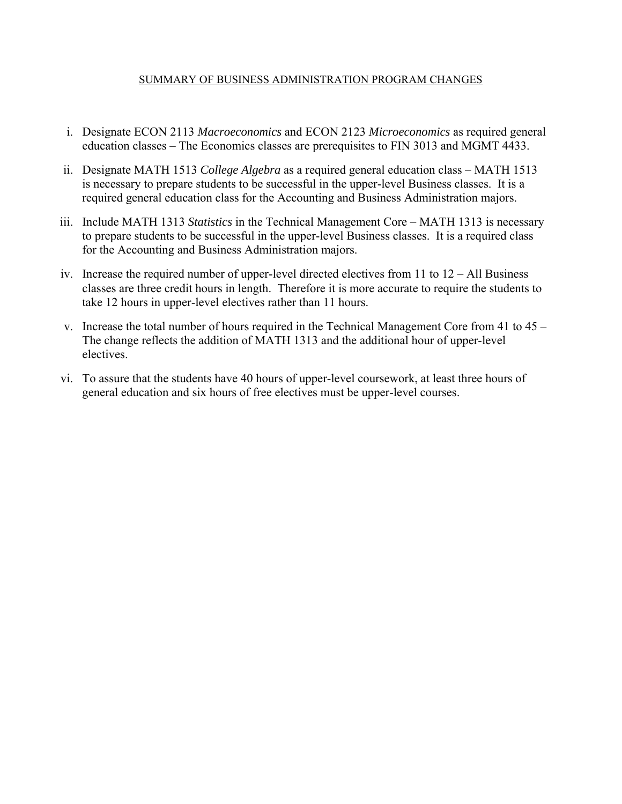## SUMMARY OF BUSINESS ADMINISTRATION PROGRAM CHANGES

- i. Designate ECON 2113 *Macroeconomics* and ECON 2123 *Microeconomics* as required general education classes – The Economics classes are prerequisites to FIN 3013 and MGMT 4433.
- ii. Designate MATH 1513 *College Algebra* as a required general education class MATH 1513 is necessary to prepare students to be successful in the upper-level Business classes. It is a required general education class for the Accounting and Business Administration majors.
- iii. Include MATH 1313 *Statistics* in the Technical Management Core MATH 1313 is necessary to prepare students to be successful in the upper-level Business classes. It is a required class for the Accounting and Business Administration majors.
- iv. Increase the required number of upper-level directed electives from 11 to 12 All Business classes are three credit hours in length. Therefore it is more accurate to require the students to take 12 hours in upper-level electives rather than 11 hours.
- v. Increase the total number of hours required in the Technical Management Core from 41 to 45 The change reflects the addition of MATH 1313 and the additional hour of upper-level electives.
- vi. To assure that the students have 40 hours of upper-level coursework, at least three hours of general education and six hours of free electives must be upper-level courses.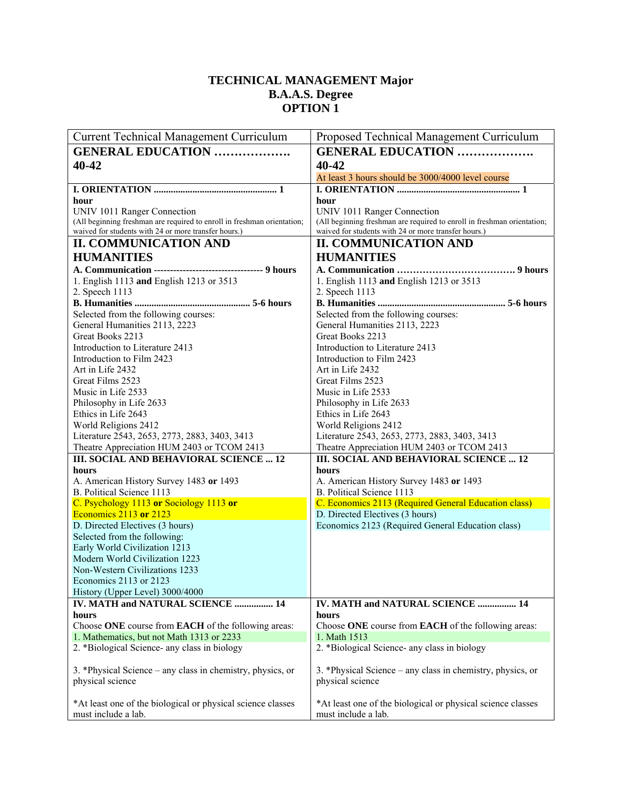## **TECHNICAL MANAGEMENT Major B.A.A.S. Degree OPTION 1**

| <b>Current Technical Management Curriculum</b>                          | Proposed Technical Management Curriculum                                |
|-------------------------------------------------------------------------|-------------------------------------------------------------------------|
| <b>GENERAL EDUCATION </b>                                               | <b>GENERAL EDUCATION </b>                                               |
| 40-42                                                                   | 40-42                                                                   |
|                                                                         | At least 3 hours should be 3000/4000 level course                       |
|                                                                         |                                                                         |
| hour                                                                    | hour                                                                    |
| UNIV 1011 Ranger Connection                                             | UNIV 1011 Ranger Connection                                             |
| (All beginning freshman are required to enroll in freshman orientation; | (All beginning freshman are required to enroll in freshman orientation; |
| waived for students with 24 or more transfer hours.)                    | waived for students with 24 or more transfer hours.)                    |
| <b>II. COMMUNICATION AND</b>                                            | <b>II. COMMUNICATION AND</b>                                            |
| <b>HUMANITIES</b>                                                       | <b>HUMANITIES</b>                                                       |
| A. Communication ----------------------------------- 9 hours            |                                                                         |
| 1. English 1113 and English 1213 or 3513                                | 1. English 1113 and English 1213 or 3513                                |
| 2. Speech 1113                                                          | 2. Speech 1113                                                          |
|                                                                         |                                                                         |
| Selected from the following courses:                                    | Selected from the following courses:                                    |
| General Humanities 2113, 2223                                           | General Humanities 2113, 2223                                           |
| Great Books 2213                                                        | Great Books 2213                                                        |
| Introduction to Literature 2413                                         | Introduction to Literature 2413                                         |
| Introduction to Film 2423                                               | Introduction to Film 2423                                               |
| Art in Life 2432                                                        | Art in Life 2432                                                        |
| Great Films 2523                                                        | Great Films 2523                                                        |
| Music in Life 2533                                                      | Music in Life 2533                                                      |
| Philosophy in Life 2633                                                 | Philosophy in Life 2633                                                 |
| Ethics in Life 2643                                                     | Ethics in Life 2643                                                     |
| World Religions 2412                                                    | World Religions 2412                                                    |
| Literature 2543, 2653, 2773, 2883, 3403, 3413                           | Literature 2543, 2653, 2773, 2883, 3403, 3413                           |
| Theatre Appreciation HUM 2403 or TCOM 2413                              | Theatre Appreciation HUM 2403 or TCOM 2413                              |
| III. SOCIAL AND BEHAVIORAL SCIENCE  12                                  | III. SOCIAL AND BEHAVIORAL SCIENCE  12                                  |
| hours                                                                   | hours                                                                   |
| A. American History Survey 1483 or 1493                                 | A. American History Survey 1483 or 1493                                 |
| B. Political Science 1113                                               | B. Political Science 1113                                               |
| C. Psychology 1113 or Sociology 1113 or                                 | C. Economics 2113 (Required General Education class)                    |
| <b>Economics 2113 or 2123</b>                                           | D. Directed Electives (3 hours)                                         |
| D. Directed Electives (3 hours)                                         | Economics 2123 (Required General Education class)                       |
| Selected from the following:                                            |                                                                         |
| Early World Civilization 1213                                           |                                                                         |
| Modern World Civilization 1223                                          |                                                                         |
| Non-Western Civilizations 1233                                          |                                                                         |
| Economics $2113$ or $2123$                                              |                                                                         |
| History (Upper Level) 3000/4000                                         |                                                                         |
| IV. MATH and NATURAL SCIENCE  14                                        | IV. MATH and NATURAL SCIENCE  14                                        |
| hours                                                                   | hours                                                                   |
| Choose ONE course from EACH of the following areas:                     | Choose ONE course from EACH of the following areas:                     |
| 1. Mathematics, but not Math 1313 or 2233                               | 1. Math 1513                                                            |
| 2. *Biological Science- any class in biology                            | 2. *Biological Science- any class in biology                            |
|                                                                         |                                                                         |
| 3. *Physical Science – any class in chemistry, physics, or              | 3. *Physical Science – any class in chemistry, physics, or              |
| physical science                                                        | physical science                                                        |
|                                                                         |                                                                         |
| *At least one of the biological or physical science classes             | *At least one of the biological or physical science classes             |
| must include a lab.                                                     | must include a lab.                                                     |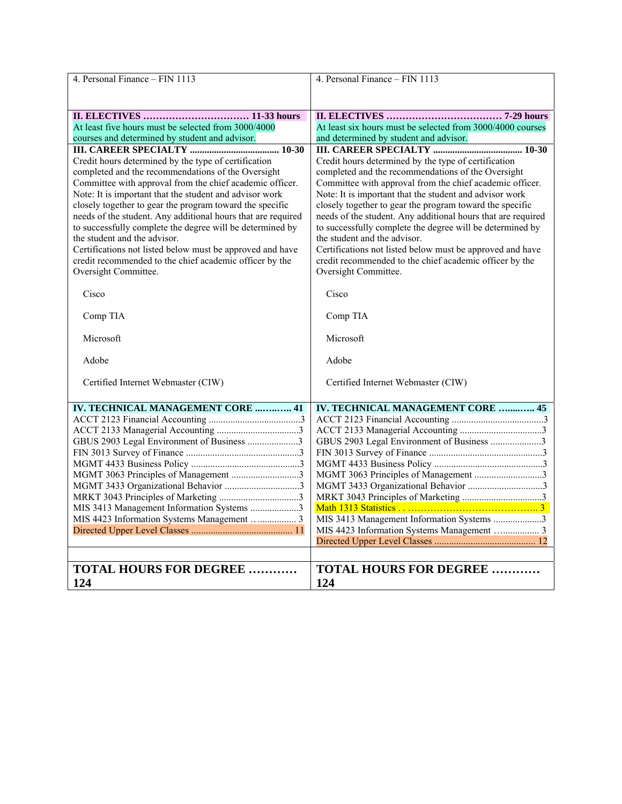| 4. Personal Finance - FIN 1113                                                                                                                                                                                                                                                                                                                                                                                                                                                                                                                                                                             | 4. Personal Finance - FIN 1113                                                                                                                                                                                                                                                                                                                                                                                                                                                                                                                                                                             |
|------------------------------------------------------------------------------------------------------------------------------------------------------------------------------------------------------------------------------------------------------------------------------------------------------------------------------------------------------------------------------------------------------------------------------------------------------------------------------------------------------------------------------------------------------------------------------------------------------------|------------------------------------------------------------------------------------------------------------------------------------------------------------------------------------------------------------------------------------------------------------------------------------------------------------------------------------------------------------------------------------------------------------------------------------------------------------------------------------------------------------------------------------------------------------------------------------------------------------|
|                                                                                                                                                                                                                                                                                                                                                                                                                                                                                                                                                                                                            |                                                                                                                                                                                                                                                                                                                                                                                                                                                                                                                                                                                                            |
|                                                                                                                                                                                                                                                                                                                                                                                                                                                                                                                                                                                                            |                                                                                                                                                                                                                                                                                                                                                                                                                                                                                                                                                                                                            |
| At least five hours must be selected from 3000/4000                                                                                                                                                                                                                                                                                                                                                                                                                                                                                                                                                        | At least six hours must be selected from 3000/4000 courses                                                                                                                                                                                                                                                                                                                                                                                                                                                                                                                                                 |
| courses and determined by student and advisor.                                                                                                                                                                                                                                                                                                                                                                                                                                                                                                                                                             | and determined by student and advisor.                                                                                                                                                                                                                                                                                                                                                                                                                                                                                                                                                                     |
|                                                                                                                                                                                                                                                                                                                                                                                                                                                                                                                                                                                                            |                                                                                                                                                                                                                                                                                                                                                                                                                                                                                                                                                                                                            |
| Credit hours determined by the type of certification<br>completed and the recommendations of the Oversight<br>Committee with approval from the chief academic officer.<br>Note: It is important that the student and advisor work<br>closely together to gear the program toward the specific<br>needs of the student. Any additional hours that are required<br>to successfully complete the degree will be determined by<br>the student and the advisor.<br>Certifications not listed below must be approved and have<br>credit recommended to the chief academic officer by the<br>Oversight Committee. | Credit hours determined by the type of certification<br>completed and the recommendations of the Oversight<br>Committee with approval from the chief academic officer.<br>Note: It is important that the student and advisor work<br>closely together to gear the program toward the specific<br>needs of the student. Any additional hours that are required<br>to successfully complete the degree will be determined by<br>the student and the advisor.<br>Certifications not listed below must be approved and have<br>credit recommended to the chief academic officer by the<br>Oversight Committee. |
| Cisco                                                                                                                                                                                                                                                                                                                                                                                                                                                                                                                                                                                                      | Cisco                                                                                                                                                                                                                                                                                                                                                                                                                                                                                                                                                                                                      |
| Comp TIA                                                                                                                                                                                                                                                                                                                                                                                                                                                                                                                                                                                                   | Comp TIA                                                                                                                                                                                                                                                                                                                                                                                                                                                                                                                                                                                                   |
| Microsoft                                                                                                                                                                                                                                                                                                                                                                                                                                                                                                                                                                                                  | Microsoft                                                                                                                                                                                                                                                                                                                                                                                                                                                                                                                                                                                                  |
| Adobe                                                                                                                                                                                                                                                                                                                                                                                                                                                                                                                                                                                                      | Adobe                                                                                                                                                                                                                                                                                                                                                                                                                                                                                                                                                                                                      |
| Certified Internet Webmaster (CIW)                                                                                                                                                                                                                                                                                                                                                                                                                                                                                                                                                                         | Certified Internet Webmaster (CIW)                                                                                                                                                                                                                                                                                                                                                                                                                                                                                                                                                                         |
| <b>IV. TECHNICAL MANAGEMENT CORE  41</b>                                                                                                                                                                                                                                                                                                                                                                                                                                                                                                                                                                   | <b>IV. TECHNICAL MANAGEMENT CORE  45</b>                                                                                                                                                                                                                                                                                                                                                                                                                                                                                                                                                                   |
|                                                                                                                                                                                                                                                                                                                                                                                                                                                                                                                                                                                                            |                                                                                                                                                                                                                                                                                                                                                                                                                                                                                                                                                                                                            |
|                                                                                                                                                                                                                                                                                                                                                                                                                                                                                                                                                                                                            |                                                                                                                                                                                                                                                                                                                                                                                                                                                                                                                                                                                                            |
| GBUS 2903 Legal Environment of Business 3                                                                                                                                                                                                                                                                                                                                                                                                                                                                                                                                                                  | GBUS 2903 Legal Environment of Business 3                                                                                                                                                                                                                                                                                                                                                                                                                                                                                                                                                                  |
|                                                                                                                                                                                                                                                                                                                                                                                                                                                                                                                                                                                                            |                                                                                                                                                                                                                                                                                                                                                                                                                                                                                                                                                                                                            |
|                                                                                                                                                                                                                                                                                                                                                                                                                                                                                                                                                                                                            |                                                                                                                                                                                                                                                                                                                                                                                                                                                                                                                                                                                                            |
| MGMT 3063 Principles of Management 3                                                                                                                                                                                                                                                                                                                                                                                                                                                                                                                                                                       | MGMT 3063 Principles of Management 3                                                                                                                                                                                                                                                                                                                                                                                                                                                                                                                                                                       |
| MGMT 3433 Organizational Behavior 3                                                                                                                                                                                                                                                                                                                                                                                                                                                                                                                                                                        |                                                                                                                                                                                                                                                                                                                                                                                                                                                                                                                                                                                                            |
|                                                                                                                                                                                                                                                                                                                                                                                                                                                                                                                                                                                                            |                                                                                                                                                                                                                                                                                                                                                                                                                                                                                                                                                                                                            |
| MIS 3413 Management Information Systems 3                                                                                                                                                                                                                                                                                                                                                                                                                                                                                                                                                                  |                                                                                                                                                                                                                                                                                                                                                                                                                                                                                                                                                                                                            |
| MIS 4423 Information Systems Management  3                                                                                                                                                                                                                                                                                                                                                                                                                                                                                                                                                                 | MIS 3413 Management Information Systems 3                                                                                                                                                                                                                                                                                                                                                                                                                                                                                                                                                                  |
|                                                                                                                                                                                                                                                                                                                                                                                                                                                                                                                                                                                                            | MIS 4423 Information Systems Management  3                                                                                                                                                                                                                                                                                                                                                                                                                                                                                                                                                                 |
|                                                                                                                                                                                                                                                                                                                                                                                                                                                                                                                                                                                                            |                                                                                                                                                                                                                                                                                                                                                                                                                                                                                                                                                                                                            |
|                                                                                                                                                                                                                                                                                                                                                                                                                                                                                                                                                                                                            |                                                                                                                                                                                                                                                                                                                                                                                                                                                                                                                                                                                                            |
| <b>TOTAL HOURS FOR DEGREE </b>                                                                                                                                                                                                                                                                                                                                                                                                                                                                                                                                                                             | <b>TOTAL HOURS FOR DEGREE </b>                                                                                                                                                                                                                                                                                                                                                                                                                                                                                                                                                                             |
| 124                                                                                                                                                                                                                                                                                                                                                                                                                                                                                                                                                                                                        | 124                                                                                                                                                                                                                                                                                                                                                                                                                                                                                                                                                                                                        |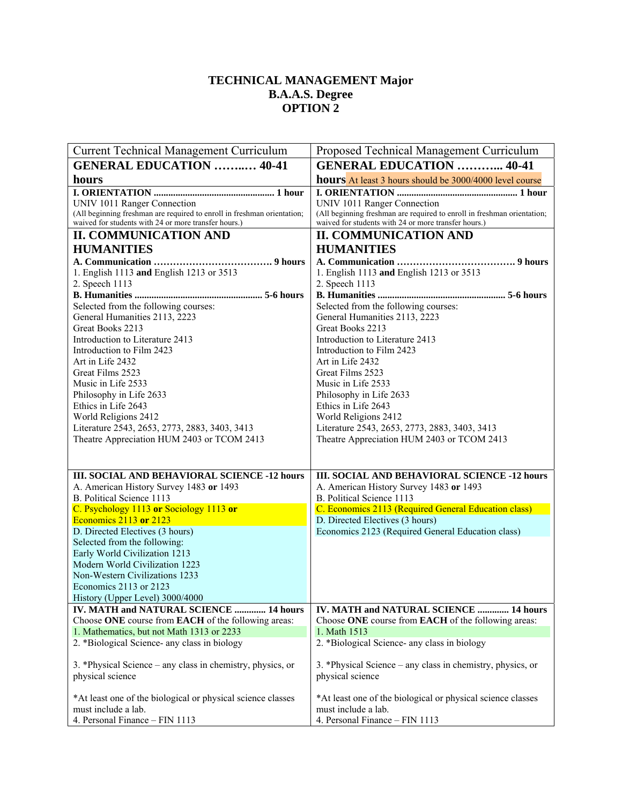## **TECHNICAL MANAGEMENT Major B.A.A.S. Degree OPTION 2**

| <b>Current Technical Management Curriculum</b>                                                                                  | Proposed Technical Management Curriculum                                                                                        |
|---------------------------------------------------------------------------------------------------------------------------------|---------------------------------------------------------------------------------------------------------------------------------|
| <b>GENERAL EDUCATION  40-41</b>                                                                                                 | <b>GENERAL EDUCATION  40-41</b>                                                                                                 |
| hours                                                                                                                           | hours At least 3 hours should be 3000/4000 level course                                                                         |
|                                                                                                                                 |                                                                                                                                 |
| UNIV 1011 Ranger Connection                                                                                                     | UNIV 1011 Ranger Connection                                                                                                     |
| (All beginning freshman are required to enroll in freshman orientation;<br>waived for students with 24 or more transfer hours.) | (All beginning freshman are required to enroll in freshman orientation;<br>waived for students with 24 or more transfer hours.) |
| <b>II. COMMUNICATION AND</b>                                                                                                    | <b>II. COMMUNICATION AND</b>                                                                                                    |
| <b>HUMANITIES</b>                                                                                                               | <b>HUMANITIES</b>                                                                                                               |
|                                                                                                                                 |                                                                                                                                 |
| 1. English 1113 and English 1213 or 3513                                                                                        | 1. English 1113 and English 1213 or 3513                                                                                        |
| 2. Speech 1113                                                                                                                  | 2. Speech 1113                                                                                                                  |
|                                                                                                                                 |                                                                                                                                 |
| Selected from the following courses:                                                                                            | Selected from the following courses:                                                                                            |
| General Humanities 2113, 2223                                                                                                   | General Humanities 2113, 2223                                                                                                   |
| Great Books 2213                                                                                                                | Great Books 2213                                                                                                                |
| Introduction to Literature 2413                                                                                                 | Introduction to Literature 2413                                                                                                 |
| Introduction to Film 2423                                                                                                       | Introduction to Film 2423                                                                                                       |
| Art in Life 2432<br>Great Films 2523                                                                                            | Art in Life 2432<br>Great Films 2523                                                                                            |
| Music in Life 2533                                                                                                              | Music in Life 2533                                                                                                              |
| Philosophy in Life 2633                                                                                                         | Philosophy in Life 2633                                                                                                         |
| Ethics in Life 2643                                                                                                             | Ethics in Life 2643                                                                                                             |
| World Religions 2412                                                                                                            | World Religions 2412                                                                                                            |
| Literature 2543, 2653, 2773, 2883, 3403, 3413                                                                                   | Literature 2543, 2653, 2773, 2883, 3403, 3413                                                                                   |
| Theatre Appreciation HUM 2403 or TCOM 2413                                                                                      | Theatre Appreciation HUM 2403 or TCOM 2413                                                                                      |
|                                                                                                                                 |                                                                                                                                 |
| <b>III. SOCIAL AND BEHAVIORAL SCIENCE -12 hours</b>                                                                             | <b>III. SOCIAL AND BEHAVIORAL SCIENCE -12 hours</b>                                                                             |
| A. American History Survey 1483 or 1493                                                                                         | A. American History Survey 1483 or 1493                                                                                         |
| B. Political Science 1113                                                                                                       | B. Political Science 1113                                                                                                       |
| C. Psychology 1113 or Sociology 1113 or                                                                                         | C. Economics 2113 (Required General Education class)                                                                            |
| Economics 2113 or 2123                                                                                                          | D. Directed Electives (3 hours)                                                                                                 |
| D. Directed Electives (3 hours)                                                                                                 | Economics 2123 (Required General Education class)                                                                               |
| Selected from the following:<br>Early World Civilization 1213                                                                   |                                                                                                                                 |
| Modern World Civilization 1223                                                                                                  |                                                                                                                                 |
| Non-Western Civilizations 1233                                                                                                  |                                                                                                                                 |
| Economics 2113 or 2123                                                                                                          |                                                                                                                                 |
| History (Upper Level) 3000/4000                                                                                                 |                                                                                                                                 |
| IV. MATH and NATURAL SCIENCE  14 hours                                                                                          | IV. MATH and NATURAL SCIENCE  14 hours                                                                                          |
| Choose ONE course from EACH of the following areas:                                                                             | Choose ONE course from EACH of the following areas:                                                                             |
| 1. Mathematics, but not Math 1313 or 2233                                                                                       | 1. Math 1513                                                                                                                    |
| 2. *Biological Science- any class in biology                                                                                    | 2. *Biological Science- any class in biology                                                                                    |
| 3. *Physical Science – any class in chemistry, physics, or                                                                      | 3. *Physical Science – any class in chemistry, physics, or                                                                      |
| physical science                                                                                                                | physical science                                                                                                                |
|                                                                                                                                 |                                                                                                                                 |
| *At least one of the biological or physical science classes                                                                     | *At least one of the biological or physical science classes                                                                     |
| must include a lab.                                                                                                             | must include a lab.                                                                                                             |
| 4. Personal Finance - FIN 1113                                                                                                  | 4. Personal Finance - FIN 1113                                                                                                  |